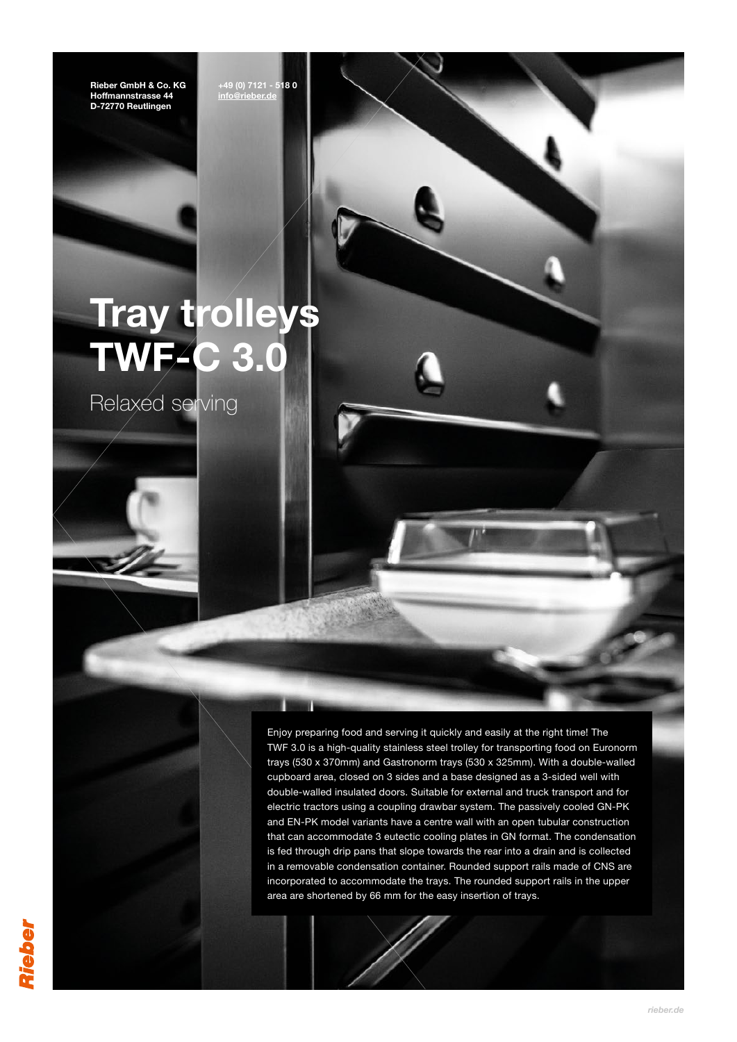Rieber GmbH & Co. KG Hoffmannstrasse 44 D-72770 Reutlingen

+49 (0) 7121 - 518 0 [info@rieber.de](mailto:info%40rieber.de?subject=Cooking%20pot%20with%20induction%20technology)

**Billian** 

# Tray trolleys **TWF-C 3.0**

Relaxed serving

Enjoy preparing food and serving it quickly and easily at the right time! The TWF 3.0 is a high-quality stainless steel trolley for transporting food on Euronorm trays (530 x 370mm) and Gastronorm trays (530 x 325mm). With a double-walled cupboard area, closed on 3 sides and a base designed as a 3-sided well with double-walled insulated doors. Suitable for external and truck transport and for electric tractors using a coupling drawbar system. The passively cooled GN-PK and EN-PK model variants have a centre wall with an open tubular construction that can accommodate 3 eutectic cooling plates in GN format. The condensation is fed through drip pans that slope towards the rear into a drain and is collected in a removable condensation container. Rounded support rails made of CNS are incorporated to accommodate the trays. The rounded support rails in the upper area are shortened by 66 mm for the easy insertion of trays.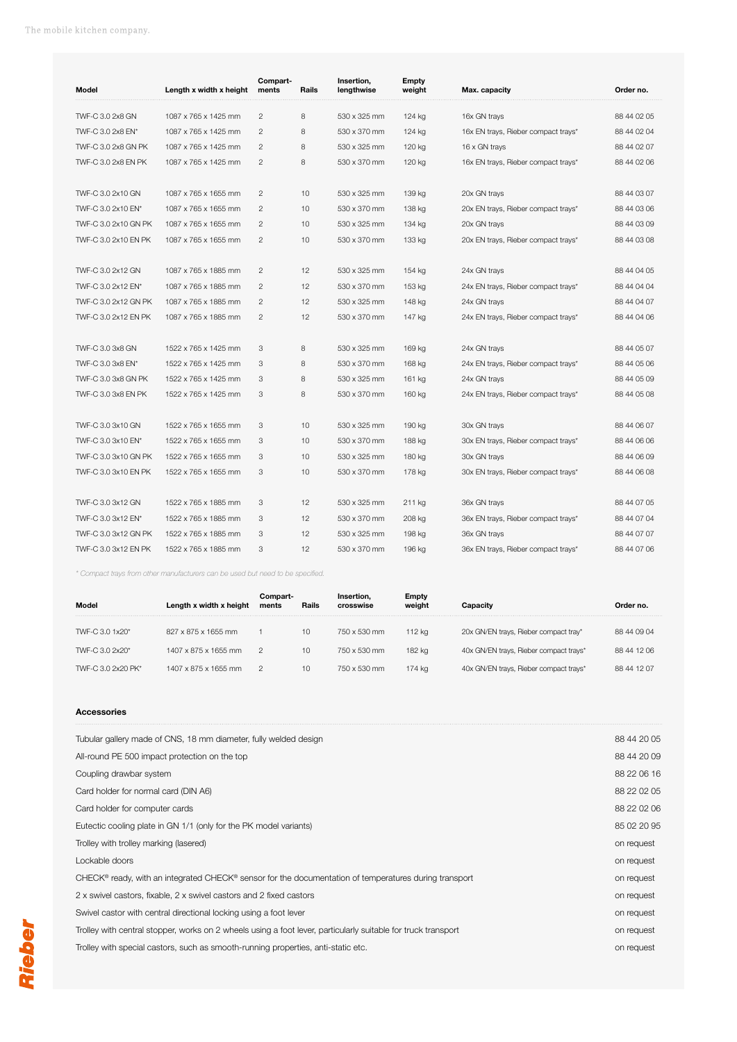| Model                | Length x width x height | Compart-<br>ments | Rails | Insertion,<br>lengthwise | Empty<br>weight | Max. capacity                       | Order no.   |
|----------------------|-------------------------|-------------------|-------|--------------------------|-----------------|-------------------------------------|-------------|
| TWF-C 3.0 2x8 GN     | 1087 x 765 x 1425 mm    | $\overline{c}$    | 8     | 530 x 325 mm             | 124 kg          | 16x GN trays                        | 88 44 02 05 |
| TWF-C 3.0 2x8 EN*    | 1087 x 765 x 1425 mm    | $\overline{2}$    | 8     | 530 x 370 mm             | 124 kg          | 16x EN trays, Rieber compact trays* | 88 44 02 04 |
| TWF-C 3.0 2x8 GN PK  | 1087 x 765 x 1425 mm    | $\overline{2}$    | 8     | 530 x 325 mm             | 120 kg          | 16 x GN trays                       | 88 44 02 07 |
| TWF-C 3.0 2x8 EN PK  | 1087 x 765 x 1425 mm    | 2                 | 8     | 530 x 370 mm             | 120 kg          | 16x EN trays, Rieber compact trays* | 88 44 02 06 |
|                      |                         |                   |       |                          |                 |                                     |             |
| TWF-C 3.0 2x10 GN    | 1087 x 765 x 1655 mm    | $\overline{2}$    | 10    | 530 x 325 mm             | 139 kg          | 20x GN trays                        | 88 44 03 07 |
| TWF-C 3.0 2x10 EN*   | 1087 x 765 x 1655 mm    | $\overline{2}$    | 10    | 530 x 370 mm             | 138 kg          | 20x EN trays, Rieber compact trays* | 88 44 03 06 |
| TWF-C 3.0 2x10 GN PK | 1087 x 765 x 1655 mm    | $\mathfrak{p}$    | 10    | 530 x 325 mm             | 134 kg          | 20x GN trays                        | 88 44 03 09 |
| TWF-C 3.0 2x10 EN PK | 1087 x 765 x 1655 mm    | 2                 | 10    | 530 x 370 mm             | 133 kg          | 20x EN trays, Rieber compact trays* | 88 44 03 08 |
|                      |                         |                   |       |                          |                 |                                     |             |
| TWF-C 3.0 2x12 GN    | 1087 x 765 x 1885 mm    | $\overline{2}$    | 12    | 530 x 325 mm             | 154 kg          | 24x GN trays                        | 88 44 04 05 |
| TWF-C 3.0 2x12 EN*   | 1087 x 765 x 1885 mm    | 2                 | 12    | 530 x 370 mm             | 153 kg          | 24x EN trays, Rieber compact trays* | 88 44 04 04 |
| TWF-C 3.0 2x12 GN PK | 1087 x 765 x 1885 mm    | $\overline{2}$    | 12    | 530 x 325 mm             | 148 kg          | 24x GN trays                        | 88 44 04 07 |
| TWF-C 3.0 2x12 EN PK | 1087 x 765 x 1885 mm    | 2                 | 12    | 530 x 370 mm             | 147 kg          | 24x EN trays, Rieber compact trays* | 88 44 04 06 |
|                      |                         |                   |       |                          |                 |                                     |             |
| TWF-C 3.0 3x8 GN     | 1522 x 765 x 1425 mm    | 3                 | 8     | 530 x 325 mm             | 169 kg          | 24x GN trays                        | 88 44 05 07 |
| TWF-C 3.0 3x8 EN*    | 1522 x 765 x 1425 mm    | 3                 | 8     | 530 x 370 mm             | 168 kg          | 24x EN trays, Rieber compact trays* | 88 44 05 06 |
| TWF-C 3.0 3x8 GN PK  | 1522 x 765 x 1425 mm    | 3                 | 8     | 530 x 325 mm             | 161 kg          | 24x GN trays                        | 88 44 05 09 |
| TWF-C 3.0 3x8 EN PK  | 1522 x 765 x 1425 mm    | 3                 | 8     | 530 x 370 mm             | 160 kg          | 24x EN trays, Rieber compact trays* | 88 44 05 08 |
|                      |                         |                   |       |                          |                 |                                     |             |
| TWF-C 3.0 3x10 GN    | 1522 x 765 x 1655 mm    | 3                 | 10    | 530 x 325 mm             | 190 kg          | 30x GN trays                        | 88 44 06 07 |
| TWF-C 3.0 3x10 EN*   | 1522 x 765 x 1655 mm    | 3                 | 10    | 530 x 370 mm             | 188 kg          | 30x EN trays, Rieber compact trays* | 88 44 06 06 |
| TWF-C 3.0 3x10 GN PK | 1522 x 765 x 1655 mm    | 3                 | 10    | 530 x 325 mm             | 180 kg          | 30x GN trays                        | 88 44 06 09 |
| TWF-C 3.0 3x10 EN PK | 1522 x 765 x 1655 mm    | 3                 | 10    | 530 x 370 mm             | 178 kg          | 30x EN trays, Rieber compact trays* | 88 44 06 08 |
|                      |                         |                   |       |                          |                 |                                     |             |
| TWF-C 3.0 3x12 GN    | 1522 x 765 x 1885 mm    | 3                 | 12    | 530 x 325 mm             | 211 kg          | 36x GN trays                        | 88 44 07 05 |
| TWF-C 3.0 3x12 EN*   | 1522 x 765 x 1885 mm    | 3                 | 12    | 530 x 370 mm             | 208 kg          | 36x EN trays, Rieber compact trays* | 88 44 07 04 |
| TWF-C 3.0 3x12 GN PK | 1522 x 765 x 1885 mm    | 3                 | 12    | 530 x 325 mm             | 198 kg          | 36x GN trays                        | 88 44 07 07 |
| TWF-C 3.0 3x12 EN PK | 1522 x 765 x 1885 mm    | 3                 | 12    | 530 x 370 mm             | 196 kg          | 36x EN trays, Rieber compact trays* | 88 44 07 06 |

*\* Compact trays from other manufacturers can be used but need to be specified.*

| Model              | Length x width x height | Compart-<br>ments | Rails | Insertion.<br>crosswise | <b>Empty</b><br>weight | Capacitv                               | Order no.   |
|--------------------|-------------------------|-------------------|-------|-------------------------|------------------------|----------------------------------------|-------------|
| TWF-C 3.0 1x20*    | 827 x 875 x 1655 mm     |                   | 10    | 750 x 530 mm            | 112 kg                 | 20x GN/EN trays, Rieber compact tray*  | 88 44 09 04 |
| TWF-C 3.0 2x20*    | 1407 x 875 x 1655 mm    | $\mathcal{P}$     | 10    | 750 x 530 mm            | 182 ka                 | 40x GN/EN trays, Rieber compact trays* | 88 44 12 06 |
| TWF-C 3.0 2x20 PK* | 1407 x 875 x 1655 mm    | $\mathcal{P}$     | 10    | 750 x 530 mm            | 174 ka                 | 40x GN/EN trays, Rieber compact trays* | 88 44 12 07 |

# **Accessories**

| Tubular gallery made of CNS, 18 mm diameter, fully welded design                                              | 88 44 20 05 |
|---------------------------------------------------------------------------------------------------------------|-------------|
| All-round PE 500 impact protection on the top                                                                 | 88 44 20 09 |
| Coupling drawbar system                                                                                       | 88 22 06 16 |
| Card holder for normal card (DIN A6)                                                                          | 88 22 02 05 |
| Card holder for computer cards                                                                                | 88 22 02 06 |
| Eutectic cooling plate in GN 1/1 (only for the PK model variants)                                             | 85 02 20 95 |
| Trolley with trolley marking (lasered)                                                                        | on request  |
| Lockable doors                                                                                                | on request  |
| CHECK® ready, with an integrated CHECK® sensor for the documentation of temperatures during transport         | on request  |
| 2 x swivel castors, fixable, 2 x swivel castors and 2 fixed castors                                           | on request  |
| Swivel castor with central directional locking using a foot lever                                             | on request  |
| Trolley with central stopper, works on 2 wheels using a foot lever, particularly suitable for truck transport | on request  |
| Trolley with special castors, such as smooth-running properties, anti-static etc.                             | on request  |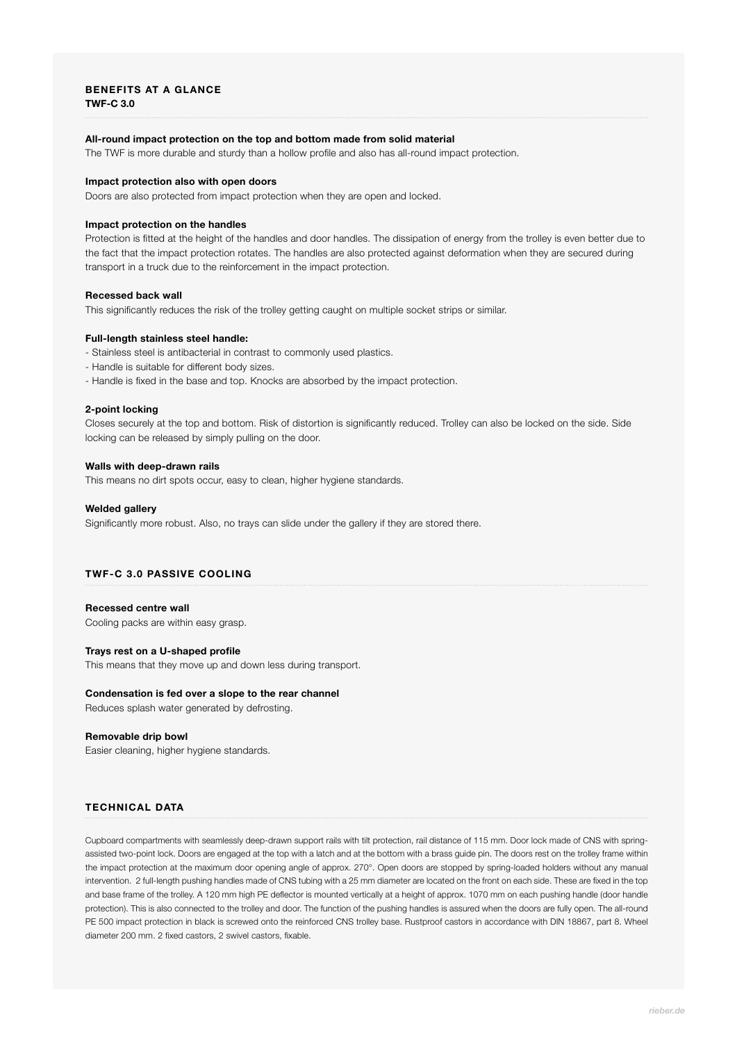## **BENEFITS AT A GLANCE TWF-C 3.0**

## **All-round impact protection on the top and bottom made from solid material**

The TWF is more durable and sturdy than a hollow profile and also has all-round impact protection.

## **Impact protection also with open doors**

Doors are also protected from impact protection when they are open and locked.

## **Impact protection on the handles**

Protection is fitted at the height of the handles and door handles. The dissipation of energy from the trolley is even better due to the fact that the impact protection rotates. The handles are also protected against deformation when they are secured during transport in a truck due to the reinforcement in the impact protection.

## **Recessed back wall**

This significantly reduces the risk of the trolley getting caught on multiple socket strips or similar.

## **Full-length stainless steel handle:**

- Stainless steel is antibacterial in contrast to commonly used plastics.
- Handle is suitable for different body sizes.
- Handle is fixed in the base and top. Knocks are absorbed by the impact protection.

#### **2-point locking**

Closes securely at the top and bottom. Risk of distortion is significantly reduced. Trolley can also be locked on the side. Side locking can be released by simply pulling on the door.

# **Walls with deep-drawn rails**

This means no dirt spots occur, easy to clean, higher hygiene standards.

#### **Welded gallery**

Significantly more robust. Also, no trays can slide under the gallery if they are stored there.

# **TWF-C 3.0 PASSIVE COOLING**

#### **Recessed centre wall**

Cooling packs are within easy grasp.

## **Trays rest on a U-shaped profile**

This means that they move up and down less during transport.

#### **Condensation is fed over a slope to the rear channel**

Reduces splash water generated by defrosting.

## **Removable drip bowl**

Easier cleaning, higher hygiene standards.

# **TECHNICAL DATA**

Cupboard compartments with seamlessly deep-drawn support rails with tilt protection, rail distance of 115 mm. Door lock made of CNS with springassisted two-point lock. Doors are engaged at the top with a latch and at the bottom with a brass guide pin. The doors rest on the trolley frame within the impact protection at the maximum door opening angle of approx. 270°. Open doors are stopped by spring-loaded holders without any manual intervention. 2 full-length pushing handles made of CNS tubing with a 25 mm diameter are located on the front on each side. These are fixed in the top and base frame of the trolley. A 120 mm high PE deflector is mounted vertically at a height of approx. 1070 mm on each pushing handle (door handle protection). This is also connected to the trolley and door. The function of the pushing handles is assured when the doors are fully open. The all-round PE 500 impact protection in black is screwed onto the reinforced CNS trolley base. Rustproof castors in accordance with DIN 18867, part 8. Wheel diameter 200 mm. 2 fixed castors, 2 swivel castors, fixable.